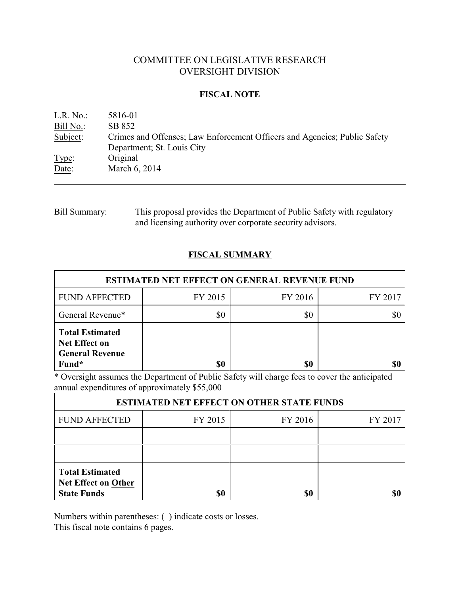# COMMITTEE ON LEGISLATIVE RESEARCH OVERSIGHT DIVISION

## **FISCAL NOTE**

| Crimes and Offenses; Law Enforcement Officers and Agencies; Public Safety |
|---------------------------------------------------------------------------|
|                                                                           |
|                                                                           |
|                                                                           |
|                                                                           |

Bill Summary: This proposal provides the Department of Public Safety with regulatory and licensing authority over corporate security advisors.

# **FISCAL SUMMARY**

| <b>ESTIMATED NET EFFECT ON GENERAL REVENUE FUND</b>                               |         |         |         |  |  |
|-----------------------------------------------------------------------------------|---------|---------|---------|--|--|
| <b>FUND AFFECTED</b>                                                              | FY 2015 | FY 2016 | FY 2017 |  |  |
| General Revenue*                                                                  | \$0     | \$0     |         |  |  |
| <b>Total Estimated</b><br><b>Net Effect on</b><br><b>General Revenue</b><br>Fund* | \$0     | \$0     |         |  |  |

\* Oversight assumes the Department of Public Safety will charge fees to cover the anticipated annual expenditures of approximately \$55,000

| <b>ESTIMATED NET EFFECT ON OTHER STATE FUNDS</b>                           |         |         |         |  |  |
|----------------------------------------------------------------------------|---------|---------|---------|--|--|
| <b>FUND AFFECTED</b>                                                       | FY 2015 | FY 2016 | FY 2017 |  |  |
|                                                                            |         |         |         |  |  |
|                                                                            |         |         |         |  |  |
| <b>Total Estimated</b><br><b>Net Effect on Other</b><br><b>State Funds</b> | \$0     | \$0     |         |  |  |

Numbers within parentheses: ( ) indicate costs or losses.

This fiscal note contains 6 pages.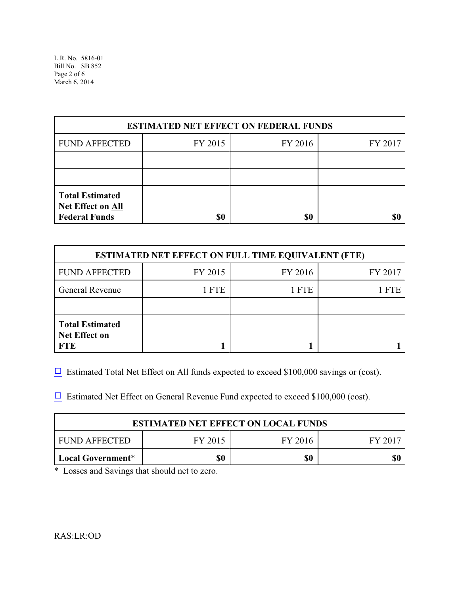L.R. No. 5816-01 Bill No. SB 852 Page 2 of 6 March 6, 2014

| <b>ESTIMATED NET EFFECT ON FEDERAL FUNDS</b>                        |         |         |         |  |  |
|---------------------------------------------------------------------|---------|---------|---------|--|--|
| <b>FUND AFFECTED</b>                                                | FY 2015 | FY 2016 | FY 2017 |  |  |
|                                                                     |         |         |         |  |  |
|                                                                     |         |         |         |  |  |
| <b>Total Estimated</b><br>Net Effect on All<br><b>Federal Funds</b> | \$0     | \$0     |         |  |  |

| <b>ESTIMATED NET EFFECT ON FULL TIME EQUIVALENT (FTE)</b>    |         |         |         |  |  |
|--------------------------------------------------------------|---------|---------|---------|--|--|
| <b>FUND AFFECTED</b>                                         | FY 2015 | FY 2016 | FY 2017 |  |  |
| <b>General Revenue</b>                                       | 1 FTE   | 1 FTE   | l fte   |  |  |
|                                                              |         |         |         |  |  |
| <b>Total Estimated</b><br><b>Net Effect on</b><br><b>FTE</b> |         |         |         |  |  |

 $\Box$  Estimated Total Net Effect on All funds expected to exceed \$100,000 savings or (cost).

 $\Box$  Estimated Net Effect on General Revenue Fund expected to exceed \$100,000 (cost).

| <b>ESTIMATED NET EFFECT ON LOCAL FUNDS</b>     |  |  |  |  |  |
|------------------------------------------------|--|--|--|--|--|
| FUND AFFECTED<br>FY 2015<br>FY 2016<br>FY 2017 |  |  |  |  |  |
| \$0<br>\$0<br>Local Government*                |  |  |  |  |  |

\* Losses and Savings that should net to zero.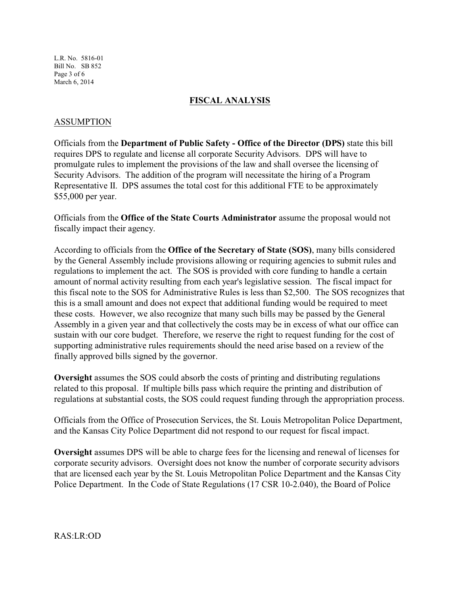L.R. No. 5816-01 Bill No. SB 852 Page 3 of 6 March 6, 2014

## **FISCAL ANALYSIS**

## ASSUMPTION

Officials from the **Department of Public Safety - Office of the Director (DPS)** state this bill requires DPS to regulate and license all corporate Security Advisors. DPS will have to promulgate rules to implement the provisions of the law and shall oversee the licensing of Security Advisors. The addition of the program will necessitate the hiring of a Program Representative II. DPS assumes the total cost for this additional FTE to be approximately \$55,000 per year.

Officials from the **Office of the State Courts Administrator** assume the proposal would not fiscally impact their agency.

According to officials from the **Office of the Secretary of State (SOS)**, many bills considered by the General Assembly include provisions allowing or requiring agencies to submit rules and regulations to implement the act. The SOS is provided with core funding to handle a certain amount of normal activity resulting from each year's legislative session. The fiscal impact for this fiscal note to the SOS for Administrative Rules is less than \$2,500. The SOS recognizes that this is a small amount and does not expect that additional funding would be required to meet these costs. However, we also recognize that many such bills may be passed by the General Assembly in a given year and that collectively the costs may be in excess of what our office can sustain with our core budget. Therefore, we reserve the right to request funding for the cost of supporting administrative rules requirements should the need arise based on a review of the finally approved bills signed by the governor.

**Oversight** assumes the SOS could absorb the costs of printing and distributing regulations related to this proposal. If multiple bills pass which require the printing and distribution of regulations at substantial costs, the SOS could request funding through the appropriation process.

Officials from the Office of Prosecution Services, the St. Louis Metropolitan Police Department, and the Kansas City Police Department did not respond to our request for fiscal impact.

**Oversight** assumes DPS will be able to charge fees for the licensing and renewal of licenses for corporate security advisors. Oversight does not know the number of corporate security advisors that are licensed each year by the St. Louis Metropolitan Police Department and the Kansas City Police Department. In the Code of State Regulations (17 CSR 10-2.040), the Board of Police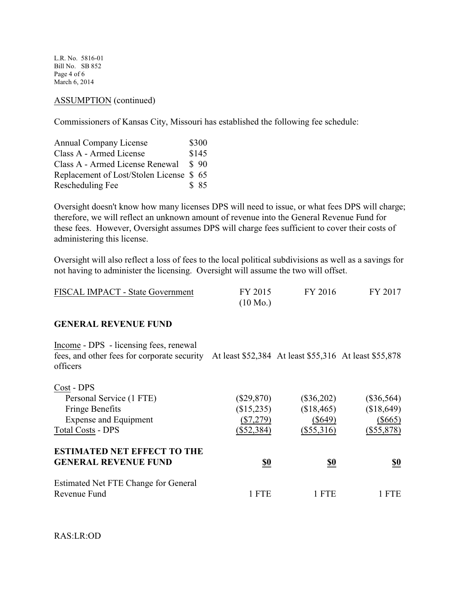L.R. No. 5816-01 Bill No. SB 852 Page 4 of 6 March 6, 2014

### ASSUMPTION (continued)

Commissioners of Kansas City, Missouri has established the following fee schedule:

| <b>Annual Company License</b>           | \$300 |
|-----------------------------------------|-------|
| Class A - Armed License                 | \$145 |
| Class A - Armed License Renewal         | \$90  |
| Replacement of Lost/Stolen License \$65 |       |
| Rescheduling Fee                        | \$ 85 |

Oversight doesn't know how many licenses DPS will need to issue, or what fees DPS will charge; therefore, we will reflect an unknown amount of revenue into the General Revenue Fund for these fees. However, Oversight assumes DPS will charge fees sufficient to cover their costs of administering this license.

Oversight will also reflect a loss of fees to the local political subdivisions as well as a savings for not having to administer the licensing. Oversight will assume the two will offset.

| <b>FISCAL IMPACT - State Government</b> | FY 2015            | FY 2016 | FY 2017 |
|-----------------------------------------|--------------------|---------|---------|
|                                         | $(10 \text{ Mo.})$ |         |         |

#### **GENERAL REVENUE FUND**

Income - DPS - licensing fees, renewal fees, and other fees for corporate security At least \$52,384 At least \$55,316 At least \$55,878 officers

| Cost - DPS                                  |              |              |              |
|---------------------------------------------|--------------|--------------|--------------|
| Personal Service (1 FTE)                    | $(\$29,870)$ | $(\$36,202)$ | $(\$36,564)$ |
| <b>Fringe Benefits</b>                      | (\$15,235)   | (\$18,465)   | (\$18,649)   |
| <b>Expense and Equipment</b>                | $(\$7,279)$  | $(\$649)$    | $(\$665)$    |
| <b>Total Costs - DPS</b>                    | $(\$52,384)$ | $(\$55,316)$ | $(\$55,878)$ |
| <b>ESTIMATED NET EFFECT TO THE</b>          |              |              |              |
| <b>GENERAL REVENUE FUND</b>                 | <u>\$0</u>   | <u>\$0</u>   | <u>\$0</u>   |
| <b>Estimated Net FTE Change for General</b> |              |              |              |
| Revenue Fund                                | <b>FTE</b>   | FTE          | <b>FTE</b>   |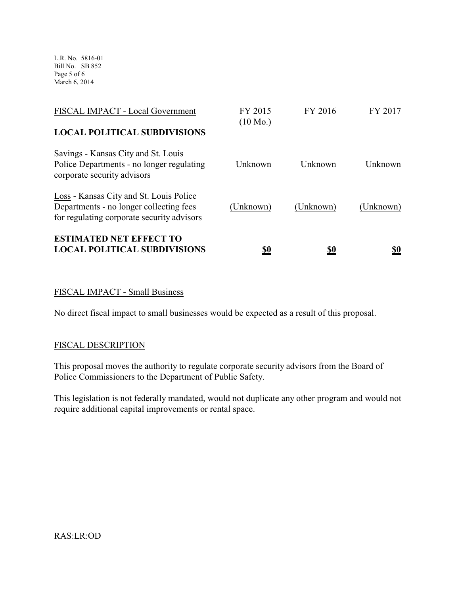L.R. No. 5816-01 Bill No. SB 852 Page 5 of 6 March 6, 2014

| <b>ESTIMATED NET EFFECT TO</b><br><b>LOCAL POLITICAL SUBDIVISIONS</b>                                                            | <u>\$0</u>                    | <u>\$0</u> | <u>\$0</u> |
|----------------------------------------------------------------------------------------------------------------------------------|-------------------------------|------------|------------|
| Loss - Kansas City and St. Louis Police<br>Departments - no longer collecting fees<br>for regulating corporate security advisors | (Unknown)                     | (Unknown)  | (Unknown)  |
| Savings - Kansas City and St. Louis<br>Police Departments - no longer regulating<br>corporate security advisors                  | Unknown                       | Unknown    | Unknown    |
| FISCAL IMPACT - Local Government<br><b>LOCAL POLITICAL SUBDIVISIONS</b>                                                          | FY 2015<br>$(10 \text{ Mo.})$ | FY 2016    | FY 2017    |
|                                                                                                                                  |                               |            |            |

## FISCAL IMPACT - Small Business

No direct fiscal impact to small businesses would be expected as a result of this proposal.

## FISCAL DESCRIPTION

This proposal moves the authority to regulate corporate security advisors from the Board of Police Commissioners to the Department of Public Safety.

This legislation is not federally mandated, would not duplicate any other program and would not require additional capital improvements or rental space.